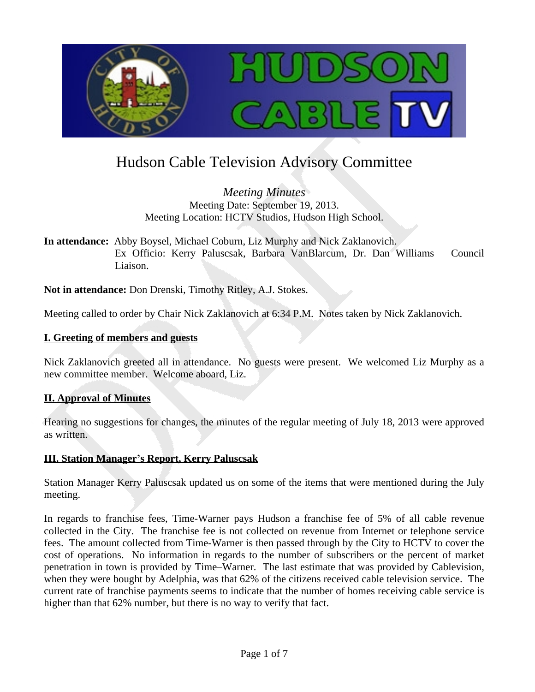

# Hudson Cable Television Advisory Committee

*Meeting Minutes* Meeting Date: September 19, 2013. Meeting Location: HCTV Studios, Hudson High School.

**In attendance:** Abby Boysel, Michael Coburn, Liz Murphy and Nick Zaklanovich. Ex Officio: Kerry Paluscsak, Barbara VanBlarcum, Dr. Dan Williams – Council Liaison.

**Not in attendance:** Don Drenski, Timothy Ritley, A.J. Stokes.

Meeting called to order by Chair Nick Zaklanovich at 6:34 P.M. Notes taken by Nick Zaklanovich.

#### **I. Greeting of members and guests**

Nick Zaklanovich greeted all in attendance. No guests were present. We welcomed Liz Murphy as a new committee member. Welcome aboard, Liz.

## **II. Approval of Minutes**

Hearing no suggestions for changes, the minutes of the regular meeting of July 18, 2013 were approved as written.

## **III. Station Manager's Report, Kerry Paluscsak**

Station Manager Kerry Paluscsak updated us on some of the items that were mentioned during the July meeting.

In regards to franchise fees, Time-Warner pays Hudson a franchise fee of 5% of all cable revenue collected in the City. The franchise fee is not collected on revenue from Internet or telephone service fees. The amount collected from Time-Warner is then passed through by the City to HCTV to cover the cost of operations. No information in regards to the number of subscribers or the percent of market penetration in town is provided by Time–Warner. The last estimate that was provided by Cablevision, when they were bought by Adelphia, was that 62% of the citizens received cable television service. The current rate of franchise payments seems to indicate that the number of homes receiving cable service is higher than that 62% number, but there is no way to verify that fact.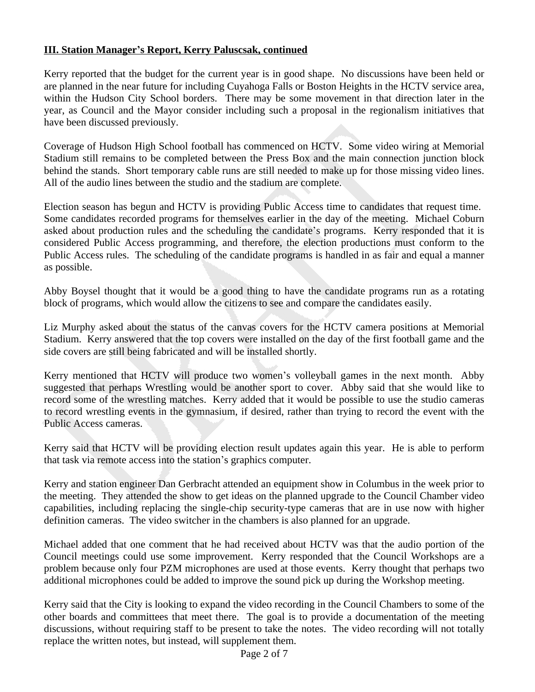## **III. Station Manager's Report, Kerry Paluscsak, continued**

Kerry reported that the budget for the current year is in good shape. No discussions have been held or are planned in the near future for including Cuyahoga Falls or Boston Heights in the HCTV service area, within the Hudson City School borders. There may be some movement in that direction later in the year, as Council and the Mayor consider including such a proposal in the regionalism initiatives that have been discussed previously.

Coverage of Hudson High School football has commenced on HCTV. Some video wiring at Memorial Stadium still remains to be completed between the Press Box and the main connection junction block behind the stands. Short temporary cable runs are still needed to make up for those missing video lines. All of the audio lines between the studio and the stadium are complete.

Election season has begun and HCTV is providing Public Access time to candidates that request time. Some candidates recorded programs for themselves earlier in the day of the meeting. Michael Coburn asked about production rules and the scheduling the candidate's programs. Kerry responded that it is considered Public Access programming, and therefore, the election productions must conform to the Public Access rules. The scheduling of the candidate programs is handled in as fair and equal a manner as possible.

Abby Boysel thought that it would be a good thing to have the candidate programs run as a rotating block of programs, which would allow the citizens to see and compare the candidates easily.

Liz Murphy asked about the status of the canvas covers for the HCTV camera positions at Memorial Stadium. Kerry answered that the top covers were installed on the day of the first football game and the side covers are still being fabricated and will be installed shortly.

Kerry mentioned that HCTV will produce two women's volleyball games in the next month. Abby suggested that perhaps Wrestling would be another sport to cover. Abby said that she would like to record some of the wrestling matches. Kerry added that it would be possible to use the studio cameras to record wrestling events in the gymnasium, if desired, rather than trying to record the event with the Public Access cameras.

Kerry said that HCTV will be providing election result updates again this year. He is able to perform that task via remote access into the station's graphics computer.

Kerry and station engineer Dan Gerbracht attended an equipment show in Columbus in the week prior to the meeting. They attended the show to get ideas on the planned upgrade to the Council Chamber video capabilities, including replacing the single-chip security-type cameras that are in use now with higher definition cameras. The video switcher in the chambers is also planned for an upgrade.

Michael added that one comment that he had received about HCTV was that the audio portion of the Council meetings could use some improvement. Kerry responded that the Council Workshops are a problem because only four PZM microphones are used at those events. Kerry thought that perhaps two additional microphones could be added to improve the sound pick up during the Workshop meeting.

Kerry said that the City is looking to expand the video recording in the Council Chambers to some of the other boards and committees that meet there. The goal is to provide a documentation of the meeting discussions, without requiring staff to be present to take the notes. The video recording will not totally replace the written notes, but instead, will supplement them.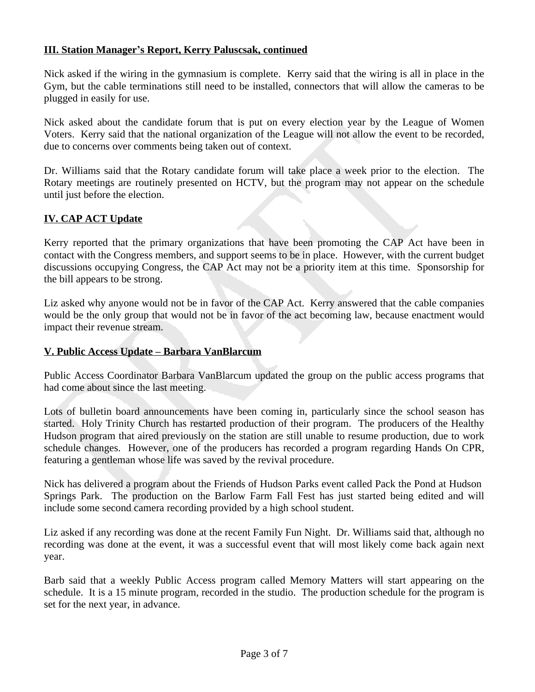## **III. Station Manager's Report, Kerry Paluscsak, continued**

Nick asked if the wiring in the gymnasium is complete. Kerry said that the wiring is all in place in the Gym, but the cable terminations still need to be installed, connectors that will allow the cameras to be plugged in easily for use.

Nick asked about the candidate forum that is put on every election year by the League of Women Voters. Kerry said that the national organization of the League will not allow the event to be recorded, due to concerns over comments being taken out of context.

Dr. Williams said that the Rotary candidate forum will take place a week prior to the election. The Rotary meetings are routinely presented on HCTV, but the program may not appear on the schedule until just before the election.

# **IV. CAP ACT Update**

Kerry reported that the primary organizations that have been promoting the CAP Act have been in contact with the Congress members, and support seems to be in place. However, with the current budget discussions occupying Congress, the CAP Act may not be a priority item at this time. Sponsorship for the bill appears to be strong.

Liz asked why anyone would not be in favor of the CAP Act. Kerry answered that the cable companies would be the only group that would not be in favor of the act becoming law, because enactment would impact their revenue stream.

## **V. Public Access Update – Barbara VanBlarcum**

Public Access Coordinator Barbara VanBlarcum updated the group on the public access programs that had come about since the last meeting.

Lots of bulletin board announcements have been coming in, particularly since the school season has started. Holy Trinity Church has restarted production of their program. The producers of the Healthy Hudson program that aired previously on the station are still unable to resume production, due to work schedule changes. However, one of the producers has recorded a program regarding Hands On CPR, featuring a gentleman whose life was saved by the revival procedure.

Nick has delivered a program about the Friends of Hudson Parks event called Pack the Pond at Hudson Springs Park. The production on the Barlow Farm Fall Fest has just started being edited and will include some second camera recording provided by a high school student.

Liz asked if any recording was done at the recent Family Fun Night. Dr. Williams said that, although no recording was done at the event, it was a successful event that will most likely come back again next year.

Barb said that a weekly Public Access program called Memory Matters will start appearing on the schedule. It is a 15 minute program, recorded in the studio. The production schedule for the program is set for the next year, in advance.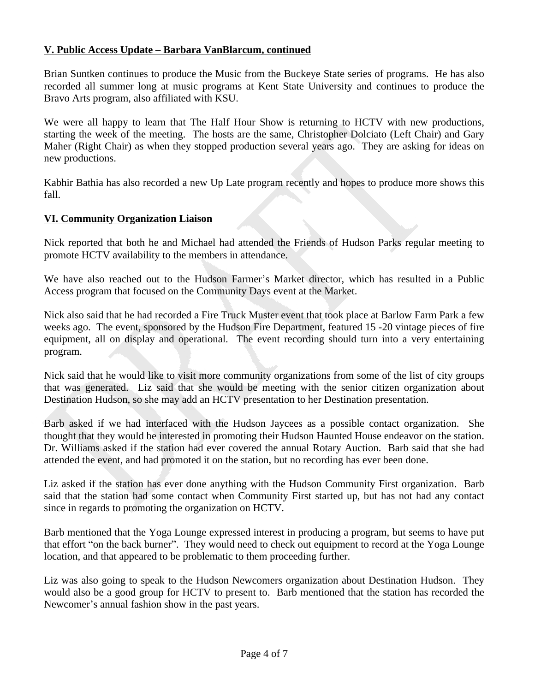## **V. Public Access Update – Barbara VanBlarcum, continued**

Brian Suntken continues to produce the Music from the Buckeye State series of programs. He has also recorded all summer long at music programs at Kent State University and continues to produce the Bravo Arts program, also affiliated with KSU.

We were all happy to learn that The Half Hour Show is returning to HCTV with new productions, starting the week of the meeting. The hosts are the same, Christopher Dolciato (Left Chair) and Gary Maher (Right Chair) as when they stopped production several years ago. They are asking for ideas on new productions.

Kabhir Bathia has also recorded a new Up Late program recently and hopes to produce more shows this fall.

#### **VI. Community Organization Liaison**

Nick reported that both he and Michael had attended the Friends of Hudson Parks regular meeting to promote HCTV availability to the members in attendance.

We have also reached out to the Hudson Farmer's Market director, which has resulted in a Public Access program that focused on the Community Days event at the Market.

Nick also said that he had recorded a Fire Truck Muster event that took place at Barlow Farm Park a few weeks ago. The event, sponsored by the Hudson Fire Department, featured 15 -20 vintage pieces of fire equipment, all on display and operational. The event recording should turn into a very entertaining program.

Nick said that he would like to visit more community organizations from some of the list of city groups that was generated. Liz said that she would be meeting with the senior citizen organization about Destination Hudson, so she may add an HCTV presentation to her Destination presentation.

Barb asked if we had interfaced with the Hudson Jaycees as a possible contact organization. She thought that they would be interested in promoting their Hudson Haunted House endeavor on the station. Dr. Williams asked if the station had ever covered the annual Rotary Auction. Barb said that she had attended the event, and had promoted it on the station, but no recording has ever been done.

Liz asked if the station has ever done anything with the Hudson Community First organization. Barb said that the station had some contact when Community First started up, but has not had any contact since in regards to promoting the organization on HCTV.

Barb mentioned that the Yoga Lounge expressed interest in producing a program, but seems to have put that effort "on the back burner". They would need to check out equipment to record at the Yoga Lounge location, and that appeared to be problematic to them proceeding further.

Liz was also going to speak to the Hudson Newcomers organization about Destination Hudson. They would also be a good group for HCTV to present to. Barb mentioned that the station has recorded the Newcomer's annual fashion show in the past years.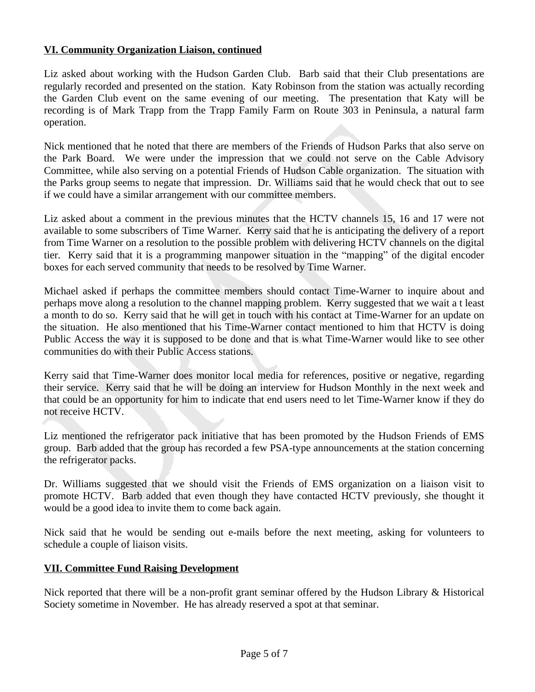## **VI. Community Organization Liaison, continued**

Liz asked about working with the Hudson Garden Club. Barb said that their Club presentations are regularly recorded and presented on the station. Katy Robinson from the station was actually recording the Garden Club event on the same evening of our meeting. The presentation that Katy will be recording is of Mark Trapp from the Trapp Family Farm on Route 303 in Peninsula, a natural farm operation.

Nick mentioned that he noted that there are members of the Friends of Hudson Parks that also serve on the Park Board. We were under the impression that we could not serve on the Cable Advisory Committee, while also serving on a potential Friends of Hudson Cable organization. The situation with the Parks group seems to negate that impression. Dr. Williams said that he would check that out to see if we could have a similar arrangement with our committee members.

Liz asked about a comment in the previous minutes that the HCTV channels 15, 16 and 17 were not available to some subscribers of Time Warner. Kerry said that he is anticipating the delivery of a report from Time Warner on a resolution to the possible problem with delivering HCTV channels on the digital tier. Kerry said that it is a programming manpower situation in the "mapping" of the digital encoder boxes for each served community that needs to be resolved by Time Warner.

Michael asked if perhaps the committee members should contact Time-Warner to inquire about and perhaps move along a resolution to the channel mapping problem. Kerry suggested that we wait a t least a month to do so. Kerry said that he will get in touch with his contact at Time-Warner for an update on the situation. He also mentioned that his Time-Warner contact mentioned to him that HCTV is doing Public Access the way it is supposed to be done and that is what Time-Warner would like to see other communities do with their Public Access stations.

Kerry said that Time-Warner does monitor local media for references, positive or negative, regarding their service. Kerry said that he will be doing an interview for Hudson Monthly in the next week and that could be an opportunity for him to indicate that end users need to let Time-Warner know if they do not receive HCTV.

Liz mentioned the refrigerator pack initiative that has been promoted by the Hudson Friends of EMS group. Barb added that the group has recorded a few PSA-type announcements at the station concerning the refrigerator packs.

Dr. Williams suggested that we should visit the Friends of EMS organization on a liaison visit to promote HCTV. Barb added that even though they have contacted HCTV previously, she thought it would be a good idea to invite them to come back again.

Nick said that he would be sending out e-mails before the next meeting, asking for volunteers to schedule a couple of liaison visits.

#### **VII. Committee Fund Raising Development**

Nick reported that there will be a non-profit grant seminar offered by the Hudson Library & Historical Society sometime in November. He has already reserved a spot at that seminar.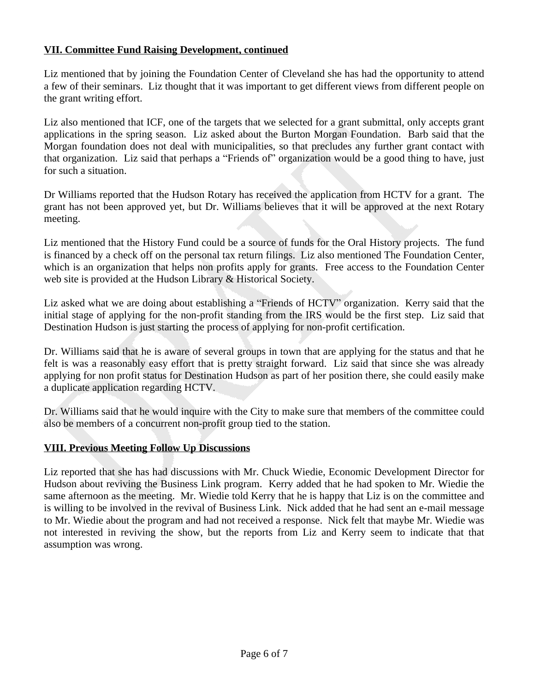# **VII. Committee Fund Raising Development, continued**

Liz mentioned that by joining the Foundation Center of Cleveland she has had the opportunity to attend a few of their seminars. Liz thought that it was important to get different views from different people on the grant writing effort.

Liz also mentioned that ICF, one of the targets that we selected for a grant submittal, only accepts grant applications in the spring season. Liz asked about the Burton Morgan Foundation. Barb said that the Morgan foundation does not deal with municipalities, so that precludes any further grant contact with that organization. Liz said that perhaps a "Friends of" organization would be a good thing to have, just for such a situation.

Dr Williams reported that the Hudson Rotary has received the application from HCTV for a grant. The grant has not been approved yet, but Dr. Williams believes that it will be approved at the next Rotary meeting.

Liz mentioned that the History Fund could be a source of funds for the Oral History projects. The fund is financed by a check off on the personal tax return filings. Liz also mentioned The Foundation Center, which is an organization that helps non profits apply for grants. Free access to the Foundation Center web site is provided at the Hudson Library & Historical Society.

Liz asked what we are doing about establishing a "Friends of HCTV" organization. Kerry said that the initial stage of applying for the non-profit standing from the IRS would be the first step. Liz said that Destination Hudson is just starting the process of applying for non-profit certification.

Dr. Williams said that he is aware of several groups in town that are applying for the status and that he felt is was a reasonably easy effort that is pretty straight forward. Liz said that since she was already applying for non profit status for Destination Hudson as part of her position there, she could easily make a duplicate application regarding HCTV.

Dr. Williams said that he would inquire with the City to make sure that members of the committee could also be members of a concurrent non-profit group tied to the station.

## **VIII. Previous Meeting Follow Up Discussions**

Liz reported that she has had discussions with Mr. Chuck Wiedie, Economic Development Director for Hudson about reviving the Business Link program. Kerry added that he had spoken to Mr. Wiedie the same afternoon as the meeting. Mr. Wiedie told Kerry that he is happy that Liz is on the committee and is willing to be involved in the revival of Business Link. Nick added that he had sent an e-mail message to Mr. Wiedie about the program and had not received a response. Nick felt that maybe Mr. Wiedie was not interested in reviving the show, but the reports from Liz and Kerry seem to indicate that that assumption was wrong.